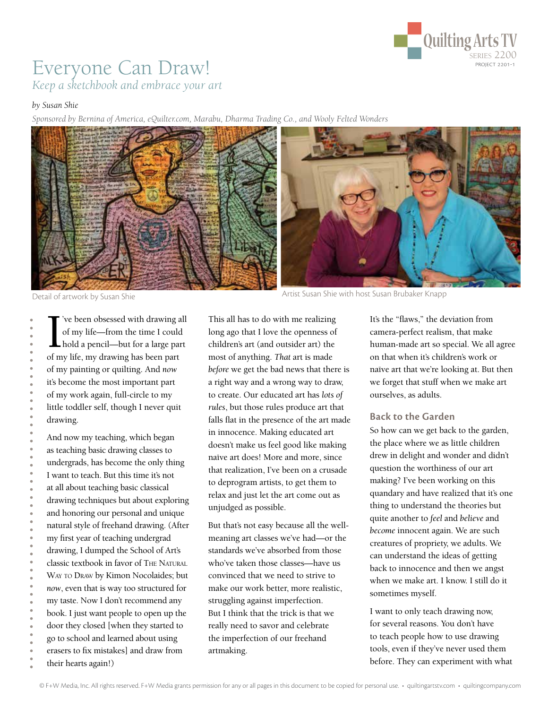

# Everyone Can Draw! *Keep a sketchbook and embrace your art*

#### *by Susan Shie*

*Sponsored by Bernina of America, eQuilter.com, Marabu, Dharma Trading Co., and Wooly Felted Wonders*



 $\prod_{\text{of m}}$ 've been obsessed with drawing all of my life—from the time I could hold a pencil—but for a large part of my life, my drawing has been part of my painting or quilting. And *now* it's become the most important part of my work again, full-circle to my little toddler self, though I never quit drawing.

And now my teaching, which began as teaching basic drawing classes to undergrads, has become the only thing I want to teach. But this time it's not at all about teaching basic classical drawing techniques but about exploring and honoring our personal and unique natural style of freehand drawing. (After my first year of teaching undergrad drawing, I dumped the School of Art's classic textbook in favor of The Natural WAY TO DRAW by Kimon Nocolaides; but *now*, even that is way too structured for my taste. Now I don't recommend any book. I just want people to open up the door they closed [when they started to go to school and learned about using erasers to fix mistakes] and draw from their hearts again!)

This all has to do with me realizing long ago that I love the openness of children's art (and outsider art) the most of anything. *That* art is made *before* we get the bad news that there is a right way and a wrong way to draw, to create. Our educated art has *lots of rules*, but those rules produce art that falls flat in the presence of the art made in innocence. Making educated art doesn't make us feel good like making naïve art does! More and more, since that realization, I've been on a crusade to deprogram artists, to get them to relax and just let the art come out as unjudged as possible.

But that's not easy because all the wellmeaning art classes we've had—or the standards we've absorbed from those who've taken those classes—have us convinced that we need to strive to make our work better, more realistic, struggling against imperfection. But I think that the trick is that we really need to savor and celebrate the imperfection of our freehand artmaking.

It's the "flaws," the deviation from camera-perfect realism, that make human-made art so special. We all agree on that when it's children's work or naïve art that we're looking at. But then we forget that stuff when we make art ourselves, as adults.

#### **Back to the Garden**

So how can we get back to the garden, the place where we as little children drew in delight and wonder and didn't question the worthiness of our art making? I've been working on this quandary and have realized that it's one thing to understand the theories but quite another to *feel* and *believe* and *become* innocent again. We are such creatures of propriety, we adults. We can understand the ideas of getting back to innocence and then we angst when we make art. I know. I still do it sometimes myself.

I want to only teach drawing now, for several reasons. You don't have to teach people how to use drawing tools, even if they've never used them before. They can experiment with what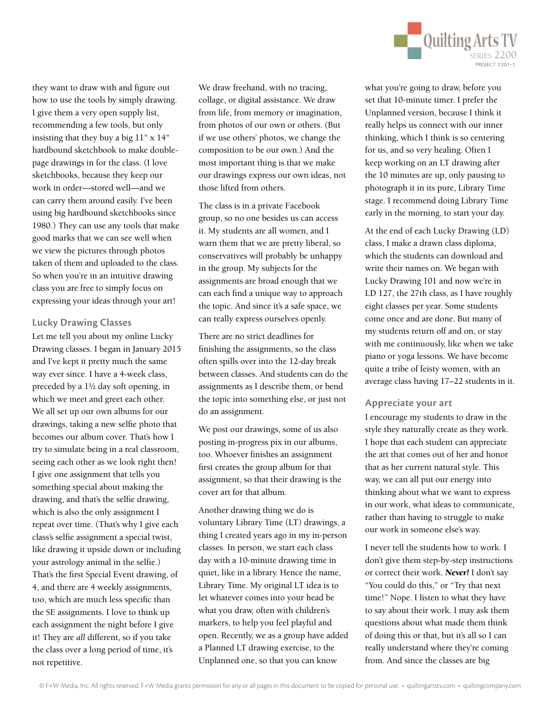

they want to draw with and figure out how to use the tools by simply drawing. I give them a very open supply list, recommending a few tools, but only insisting that they buy a big 11" x 14" hardbound sketchbook to make doublepage drawings in for the class. (I love sketchbooks, because they keep our work in order—stored well—and we can carry them around easily. I've been using big hardbound sketchbooks since 1980.) They can use any tools that make good marks that we can see well when we view the pictures through photos taken of them and uploaded to the class. So when you're in an intuitive drawing class you are free to simply focus on expressing your ideas through your art!

## **Lucky Drawing Classes**

Let me tell you about my online Lucky Drawing classes. I began in January 2015 and I've kept it pretty much the same way ever since. I have a 4-week class, preceded by a 1½ day soft opening, in which we meet and greet each other. We all set up our own albums for our drawings, taking a new selfie photo that becomes our album cover. That's how I try to simulate being in a real classroom, seeing each other as we look right then! I give one assignment that tells you something special about making the drawing, and that's the selfie drawing, which is also the only assignment I repeat over time. (That's why I give each class's selfie assignment a special twist, like drawing it upside down or including your astrology animal in the selfie.) That's the first Special Event drawing, of 4, and there are 4 weekly assignments, too, which are much less specific than the SE assignments. I love to think up each assignment the night before I give it! They are *all* different, so if you take the class over a long period of time, it's not repetitive.

We draw freehand, with no tracing, collage, or digital assistance. We draw from life, from memory or imagination, from photos of our own or others. (But if we use others' photos, we change the composition to be our own.) And the most important thing is that we make our drawings express our own ideas, not those lifted from others.

The class is in a private Facebook group, so no one besides us can access it. My students are all women, and I warn them that we are pretty liberal, so conservatives will probably be unhappy in the group. My subjects for the assignments are broad enough that we can each find a unique way to approach the topic. And since it's a safe space, we can really express ourselves openly.

There are no strict deadlines for finishing the assignments, so the class often spills over into the 12-day break between classes. And students can do the assignments as I describe them, or bend the topic into something else, or just not do an assignment.

We post our drawings, some of us also posting in-progress pix in our albums, too. Whoever finishes an assignment first creates the group album for that assignment, so that their drawing is the cover art for that album.

Another drawing thing we do is voluntary Library Time (LT) drawings, a thing I created years ago in my in-person classes. In person, we start each class day with a 10-minute drawing time in quiet, like in a library. Hence the name, Library Time. My original LT idea is to let whatever comes into your head be what you draw, often with children's markers, to help you feel playful and open. Recently, we as a group have added a Planned LT drawing exercise, to the Unplanned one, so that you can know

what you're going to draw, before you set that 10-minute timer. I prefer the Unplanned version, because I think it really helps us connect with our inner thinking, which I think is so centering for us, and so very healing. Often I keep working on an LT drawing after the 10 minutes are up, only pausing to photograph it in its pure, Library Time stage. I recommend doing Library Time early in the morning, to start your day.

At the end of each Lucky Drawing (LD) class, I make a drawn class diploma, which the students can download and write their names on. We began with Lucky Drawing 101 and now we're in LD 127, the 27th class, as I have roughly eight classes per year. Some students come once and are done. But many of my students return off and on, or stay with me continuously, like when we take piano or yoga lessons. We have become quite a tribe of feisty women, with an average class having 17–22 students in it.

## **Appreciate your art**

I encourage my students to draw in the style they naturally create as they work. I hope that each student can appreciate the art that comes out of her and honor that as her current natural style. This way, we can all put our energy into thinking about what we want to express in our work, what ideas to communicate, rather than having to struggle to make our work in someone else's way.

I never tell the students how to work. I don't give them step-by-step instructions or correct their work. *Never!* I don't say "You could do this," or "Try that next time!" Nope. I listen to what they have to say about their work. I may ask them questions about what made them think of doing this or that, but it's all so I can really understand where they're coming from. And since the classes are big